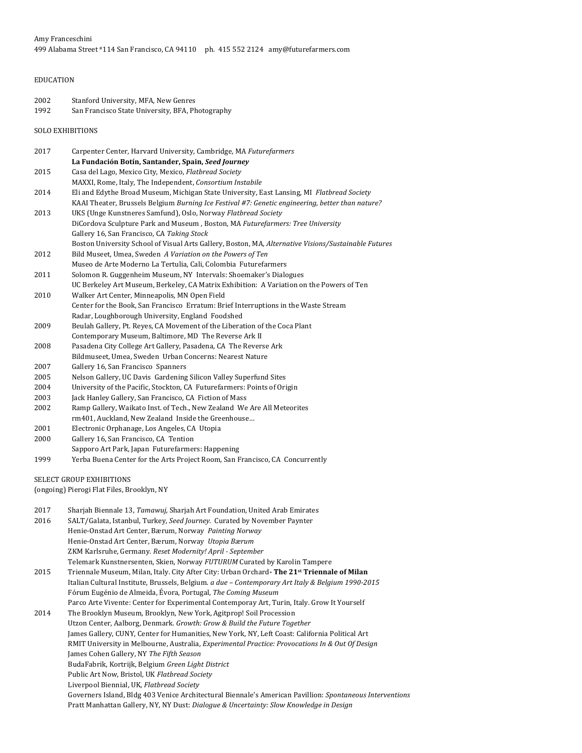# EDUCATION

| 2002 | Stanford University, MFA, New Genres             |
|------|--------------------------------------------------|
| 1992 | San Francisco State University, BFA, Photography |

SOLO EXHIBITIONS

| 2017 | Carpenter Center, Harvard University, Cambridge, MA Futurefarmers                                                                                                                                                                                                                                                                       |
|------|-----------------------------------------------------------------------------------------------------------------------------------------------------------------------------------------------------------------------------------------------------------------------------------------------------------------------------------------|
|      | La Fundación Botín, Santander, Spain, Seed Journey                                                                                                                                                                                                                                                                                      |
| 2015 | Casa del Lago, Mexico City, Mexico, Flatbread Society                                                                                                                                                                                                                                                                                   |
|      | MAXXI, Rome, Italy, The Independent, Consortium Instabile                                                                                                                                                                                                                                                                               |
| 2014 | Eli and Edythe Broad Museum, Michigan State University, East Lansing, MI Flatbread Society                                                                                                                                                                                                                                              |
|      | KAAI Theater, Brussels Belgium Burning Ice Festival #7: Genetic engineering, better than nature?                                                                                                                                                                                                                                        |
| 2013 | UKS (Unge Kunstneres Samfund), Oslo, Norway Flatbread Society                                                                                                                                                                                                                                                                           |
|      | DiCordova Sculpture Park and Museum, Boston, MA Futurefarmers: Tree University                                                                                                                                                                                                                                                          |
|      | Gallery 16, San Francisco, CA Taking Stock                                                                                                                                                                                                                                                                                              |
|      | Boston University School of Visual Arts Gallery, Boston, MA, Alternative Visions/Sustainable Futures                                                                                                                                                                                                                                    |
| 2012 | Bild Museet, Umea, Sweden A Variation on the Powers of Ten                                                                                                                                                                                                                                                                              |
|      | Museo de Arte Moderno La Tertulia, Cali, Colombia Futurefarmers                                                                                                                                                                                                                                                                         |
| 2011 | Solomon R. Guggenheim Museum, NY Intervals: Shoemaker's Dialogues                                                                                                                                                                                                                                                                       |
|      | UC Berkeley Art Museum, Berkeley, CA Matrix Exhibition: A Variation on the Powers of Ten                                                                                                                                                                                                                                                |
| 2010 | Walker Art Center, Minneapolis, MN Open Field                                                                                                                                                                                                                                                                                           |
|      | Center for the Book, San Francisco Erratum: Brief Interruptions in the Waste Stream                                                                                                                                                                                                                                                     |
|      | Radar, Loughborough University, England Foodshed                                                                                                                                                                                                                                                                                        |
| 2009 | Beulah Gallery, Pt. Reyes, CA Movement of the Liberation of the Coca Plant                                                                                                                                                                                                                                                              |
|      | Contemporary Museum, Baltimore, MD The Reverse Ark II                                                                                                                                                                                                                                                                                   |
| 2008 | Pasadena City College Art Gallery, Pasadena, CA The Reverse Ark                                                                                                                                                                                                                                                                         |
|      | Bildmuseet, Umea, Sweden Urban Concerns: Nearest Nature                                                                                                                                                                                                                                                                                 |
| 2007 | Gallery 16, San Francisco Spanners                                                                                                                                                                                                                                                                                                      |
| 2005 | Nelson Gallery, UC Davis Gardening Silicon Valley Superfund Sites                                                                                                                                                                                                                                                                       |
| 2004 | University of the Pacific, Stockton, CA Futurefarmers: Points of Origin                                                                                                                                                                                                                                                                 |
| 2003 | Jack Hanley Gallery, San Francisco, CA Fiction of Mass                                                                                                                                                                                                                                                                                  |
| 2002 | Ramp Gallery, Waikato Inst. of Tech., New Zealand We Are All Meteorites                                                                                                                                                                                                                                                                 |
|      | rm401, Auckland, New Zealand Inside the Greenhouse                                                                                                                                                                                                                                                                                      |
| 2001 | Electronic Orphanage, Los Angeles, CA Utopia                                                                                                                                                                                                                                                                                            |
| 2000 | Gallery 16, San Francisco, CA Tention                                                                                                                                                                                                                                                                                                   |
|      | Sapporo Art Park, Japan Futurefarmers: Happening                                                                                                                                                                                                                                                                                        |
| 1999 | Yerba Buena Center for the Arts Project Room, San Francisco, CA Concurrently                                                                                                                                                                                                                                                            |
|      |                                                                                                                                                                                                                                                                                                                                         |
|      | <b>SELECT GROUP EXHIBITIONS</b><br>$\ldots$ and $\mathbf{D}$ are $\mathbf{E}$ and $\mathbf{E}$ and $\mathbf{E}$ and $\mathbf{E}$ and $\mathbf{E}$ are $\mathbf{E}$ and $\mathbf{E}$ and $\mathbf{E}$ and $\mathbf{E}$ and $\mathbf{E}$ and $\mathbf{E}$ and $\mathbf{E}$ and $\mathbf{E}$ and $\mathbf{E}$ and $\mathbf{E}$ and $\math$ |
|      |                                                                                                                                                                                                                                                                                                                                         |

(ongoing) Pierogi Flat Files, Brooklyn, NY

| 2017 | Sharjah Biennale 13, Tamawuj, Sharjah Art Foundation, United Arab Emirates                                 |
|------|------------------------------------------------------------------------------------------------------------|
| 2016 | SALT/Galata, Istanbul, Turkey, Seed Journey. Curated by November Paynter                                   |
|      | Henie-Onstad Art Center, Bærum, Norway Painting Norway                                                     |
|      | Henie-Onstad Art Center, Bærum, Norway Utopia Bærum                                                        |
|      | ZKM Karlsruhe, Germany. Reset Modernity! April - September                                                 |
|      | Telemark Kunstnersenten, Skien, Norway FUTURUM Curated by Karolin Tampere                                  |
| 2015 | Triennale Museum, Milan, Italy. City After City: Urban Orchard- The 21 <sup>st</sup> Triennale of Milan    |
|      | Italian Cultural Institute, Brussels, Belgium. a due - Contemporary Art Italy & Belgium 1990-2015          |
|      | Fórum Eugénio de Almeida, Évora, Portugal, The Coming Museum                                               |
|      | Parco Arte Vivente: Center for Experimental Contemporay Art, Turin, Italy. Grow It Yourself                |
| 2014 | The Brooklyn Museum, Brooklyn, New York, Agitprop! Soil Procession                                         |
|      | Utzon Center, Aalborg, Denmark. Growth: Grow & Build the Future Together                                   |
|      | James Gallery, CUNY, Center for Humanities, New York, NY, Left Coast: California Political Art             |
|      | RMIT University in Melbourne, Australia, <i>Experimental Practice: Provocations In &amp; Out Of Design</i> |
|      | James Cohen Gallery, NY The Fifth Season                                                                   |
|      | BudaFabrik, Kortrijk, Belgium Green Light District                                                         |
|      | Public Art Now, Bristol, UK Flatbread Society                                                              |
|      | Liverpool Biennial, UK, Flatbread Society                                                                  |
|      | Governers Island, Bldg 403 Venice Architectural Biennale's American Pavillion: Spontaneous Interventions   |
|      | Pratt Manhattan Gallery, NY, NY Dust: Dialogue & Uncertainty: Slow Knowledge in Design                     |
|      |                                                                                                            |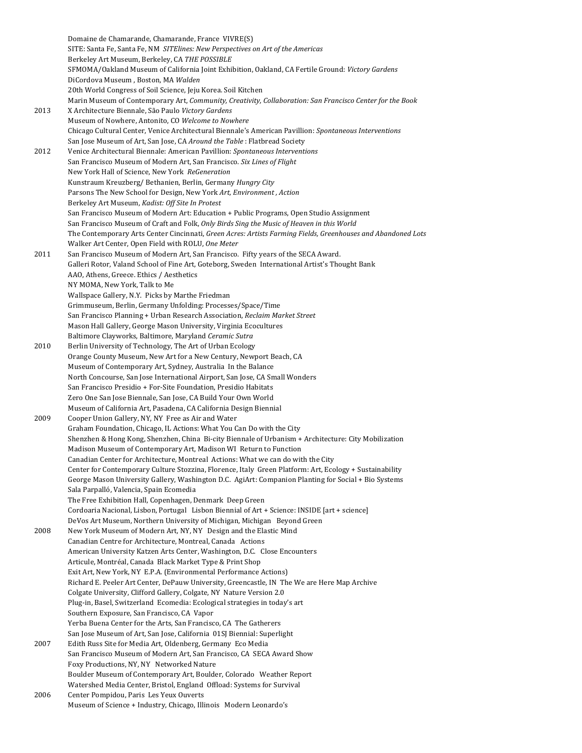Domaine de Chamarande, Chamarande, France VIVRE(S) SITE: Santa Fe, Santa Fe, NM SITElines: New Perspectives on Art of the Americas Berkeley Art Museum, Berkeley, CA THE POSSIBLE SFMOMA/Oakland Museum of California Joint Exhibition, Oakland, CA Fertile Ground: Victory Gardens DiCordova Museum , Boston, MA *Walden* 20th World Congress of Soil Science, Jeju Korea. Soil Kitchen Marin Museum of Contemporary Art, *Community, Creativity, Collaboration: San Francisco Center for the Book* 2013 X Architecture Biennale, São Paulo *Victory Gardens* Museum of Nowhere, Antonito, CO Welcome to Nowhere Chicago Cultural Center, Venice Architectural Biennale's American Pavillion: *Spontaneous Interventions* San Jose Museum of Art, San Jose, CA Around the Table : Flatbread Society 2012 Venice Architectural Biennale: American Pavillion: Spontaneous Interventions San Francisco Museum of Modern Art, San Francisco. Six Lines of Flight New York Hall of Science, New York *ReGeneration* Kunstraum Kreuzberg/ Bethanien, Berlin, Germany *Hungry City* Parsons The New School for Design, New York Art, Environment, Action Berkeley Art Museum, *Kadist: Off Site In Protest* San Francisco Museum of Modern Art: Education + Public Programs, Open Studio Assignment San Francisco Museum of Craft and Folk, *Only Birds Sing the Music of Heaven in this World* The Contemporary Arts Center Cincinnati, Green Acres: Artists Farming Fields, Greenhouses and Abandoned Lots Walker Art Center, Open Field with ROLU, One Meter 2011 San Francisco Museum of Modern Art, San Francisco. Fifty years of the SECA Award. Galleri Rotor, Valand School of Fine Art, Goteborg, Sweden International Artist's Thought Bank AAO, Athens, Greece. Ethics / Aesthetics NY MOMA, New York, Talk to Me Wallspace Gallery, N.Y. Picks by Marthe Friedman Grimmuseum, Berlin, Germany Unfolding: Processes/Space/Time San Francisco Planning + Urban Research Association, *Reclaim Market Street* Mason Hall Gallery, George Mason University, Virginia Ecocultures Baltimore Clayworks, Baltimore, Maryland *Ceramic Sutra* 2010 Berlin University of Technology, The Art of Urban Ecology Orange County Museum, New Art for a New Century, Newport Beach, CA Museum of Contemporary Art, Sydney, Australia In the Balance North Concourse, San Jose International Airport, San Jose, CA Small Wonders San Francisco Presidio + For-Site Foundation, Presidio Habitats Zero One San Jose Biennale, San Jose, CA Build Your Own World Museum of California Art, Pasadena, CA California Design Biennial 2009 Cooper Union Gallery, NY, NY Free as Air and Water Graham Foundation, Chicago, IL Actions: What You Can Do with the City Shenzhen & Hong Kong, Shenzhen, China Bi-city Biennale of Urbanism + Architecture: City Mobilization Madison Museum of Contemporary Art, Madison WI Return to Function Canadian Center for Architecture, Montreal Actions: What we can do with the City Center for Contemporary Culture Stozzina, Florence, Italy Green Platform: Art, Ecology + Sustainability George Mason University Gallery, Washington D.C. AgiArt: Companion Planting for Social + Bio Systems Sala Parpalló, Valencia, Spain Ecomedia The Free Exhibition Hall, Copenhagen, Denmark Deep Green Cordoaria Nacional, Lisbon, Portugal Lisbon Biennial of Art + Science: INSIDE [art + science] DeVos Art Museum, Northern University of Michigan, Michigan Beyond Green 2008 New York Museum of Modern Art, NY, NY Design and the Elastic Mind Canadian Centre for Architecture, Montreal, Canada Actions American University Katzen Arts Center, Washington, D.C. Close Encounters Articule, Montréal, Canada Black Market Type & Print Shop Exit Art, New York, NY E.P.A. (Environmental Performance Actions) Richard E. Peeler Art Center, DePauw University, Greencastle, IN The We are Here Map Archive Colgate University, Clifford Gallery, Colgate, NY Nature Version 2.0 Plug-in, Basel, Switzerland Ecomedia: Ecological strategies in today's art Southern Exposure, San Francisco, CA Vapor Yerba Buena Center for the Arts, San Francisco, CA The Gatherers San Jose Museum of Art, San Jose, California 01SJ Biennial: Superlight 2007 Edith Russ Site for Media Art, Oldenberg, Germany Eco Media San Francisco Museum of Modern Art, San Francisco, CA SECA Award Show Foxy Productions, NY, NY Networked Nature Boulder Museum of Contemporary Art, Boulder, Colorado Weather Report Watershed Media Center, Bristol, England Offload: Systems for Survival 2006 Center Pompidou, Paris Les Yeux Ouverts Museum of Science + Industry, Chicago, Illinois Modern Leonardo's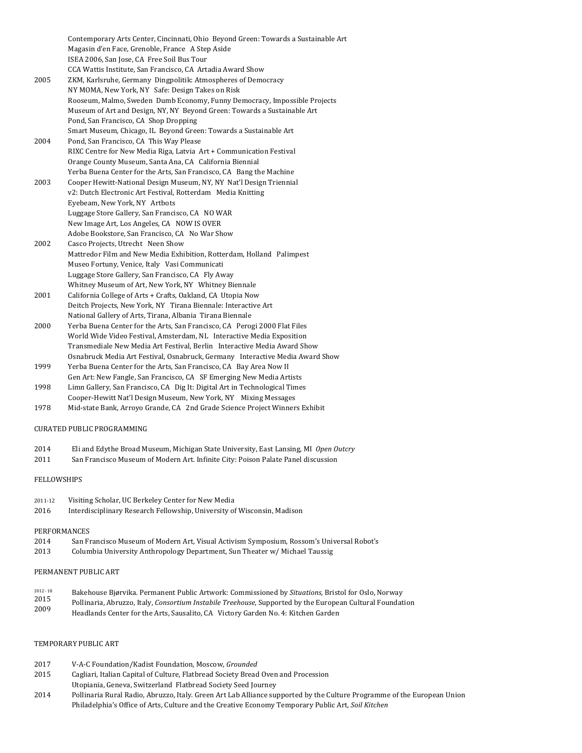Contemporary Arts Center, Cincinnati, Ohio Beyond Green: Towards a Sustainable Art Magasin d'en Face, Grenoble, France A Step Aside ISEA 2006, San Jose, CA Free Soil Bus Tour CCA Wattis Institute, San Francisco, CA Artadia Award Show 2005 ZKM, Karlsruhe, Germany Dingpolitik: Atmospheres of Democracy NY MOMA, New York, NY Safe: Design Takes on Risk Rooseum, Malmo, Sweden Dumb Economy, Funny Democracy, Impossible Projects Museum of Art and Design, NY, NY Beyond Green: Towards a Sustainable Art Pond, San Francisco, CA Shop Dropping Smart Museum, Chicago, IL Beyond Green: Towards a Sustainable Art 2004 Pond, San Francisco, CA This Way Please RIXC Centre for New Media Riga, Latvia Art + Communication Festival Orange County Museum, Santa Ana, CA California Biennial Yerba Buena Center for the Arts, San Francisco, CA Bang the Machine 2003 Cooper Hewitt-National Design Museum, NY, NY Nat'l Design Triennial v2: Dutch Electronic Art Festival, Rotterdam Media Knitting Eyebeam, New York, NY Artbots Luggage Store Gallery, San Francisco, CA NO WAR New Image Art, Los Angeles, CA NOW IS OVER Adobe Bookstore, San Francisco, CA No War Show 2002 Casco Projects, Utrecht Neen Show Mattredor Film and New Media Exhibition, Rotterdam, Holland Palimpest Museo Fortuny, Venice, Italy Vasi Communicati Luggage Store Gallery, San Francisco, CA Fly Away Whitney Museum of Art, New York, NY Whitney Biennale 2001 California College of Arts + Crafts, Oakland, CA Utopia Now Deitch Projects, New York, NY Tirana Biennale: Interactive Art National Gallery of Arts, Tirana, Albania Tirana Biennale 2000 Yerba Buena Center for the Arts, San Francisco, CA Perogi 2000 Flat Files World Wide Video Festival, Amsterdam, NL Interactive Media Exposition Transmediale New Media Art Festival, Berlin Interactive Media Award Show

- Osnabruck Media Art Festival, Osnabruck, Germany Interactive Media Award Show
- 1999 Yerba Buena Center for the Arts, San Francisco, CA Bay Area Now II Gen Art: New Fangle, San Francisco, CA SF Emerging New Media Artists 1998 Limn Gallery, San Francisco, CA Dig It: Digital Art in Technological Times
- Cooper-Hewitt Nat'l Design Museum, New York, NY Mixing Messages
- 1978 Mid-state Bank, Arroyo Grande, CA 2nd Grade Science Project Winners Exhibit

## CURATED PUBLIC PROGRAMMING

- 2014 Eli and Edythe Broad Museum, Michigan State University, East Lansing, MI Open Outcry
- 2011 San Francisco Museum of Modern Art. Infinite City: Poison Palate Panel discussion

### FELLOWSHIPS

| 2011-12 | Visiting Scholar, UC Berkeley Center for New Media                      |
|---------|-------------------------------------------------------------------------|
| 2016    | Interdisciplinary Research Fellowship, University of Wisconsin, Madison |

### PERFORMANCES

- 2014 San Francisco Museum of Modern Art, Visual Activism Symposium, Rossom's Universal Robot's
- 2013 Columbia University Anthropology Department, Sun Theater w/ Michael Taussig

### PERMANENT PUBLIC ART

- 2012- 18 2015 Bakehouse Bjørvika. Permanent Public Artwork: Commissioned by *Situations*, Bristol for Oslo, Norway
- Pollinaria, Abruzzo, Italy, *Consortium Instabile Treehouse*, Supported by the European Cultural Foundation
- 2009 Headlands Center for the Arts, Sausalito, CA Victory Garden No. 4: Kitchen Garden

# TEMPORARY PUBLIC ART

- 2017 V-A-C Foundation/Kadist Foundation, Moscow, *Grounded*
- 2015 Cagliari, Italian Capital of Culture, Flatbread Society Bread Oven and Procession
- Utopiania, Geneva, Switzerland Flatbread Society Seed Journey
- 2014 Pollinaria Rural Radio, Abruzzo, Italy. Green Art Lab Alliance supported by the Culture Programme of the European Union Philadelphia's Office of Arts, Culture and the Creative Economy Temporary Public Art, Soil Kitchen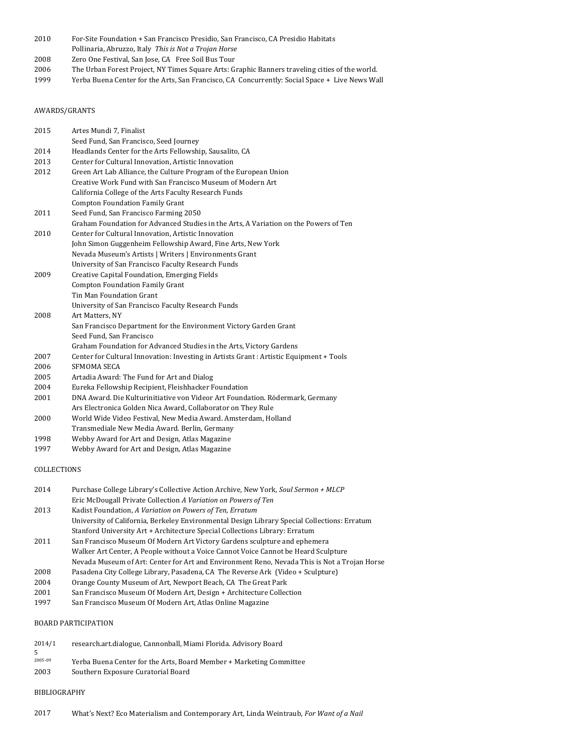- 2010 For-Site Foundation + San Francisco Presidio, San Francisco, CA Presidio Habitats
- Pollinaria, Abruzzo, Italy This is Not a Trojan Horse
- 2008 Zero One Festival, San Jose, CA Free Soil Bus Tour
- 2006 The Urban Forest Project, NY Times Square Arts: Graphic Banners traveling cities of the world.
- 1999 Yerba Buena Center for the Arts, San Francisco, CA Concurrently: Social Space + Live News Wall

# AWARDS/GRANTS

| 2015 | Artes Mundi 7, Finalist                                                                 |
|------|-----------------------------------------------------------------------------------------|
|      | Seed Fund, San Francisco, Seed Journey                                                  |
| 2014 | Headlands Center for the Arts Fellowship, Sausalito, CA                                 |
| 2013 | Center for Cultural Innovation, Artistic Innovation                                     |
| 2012 | Green Art Lab Alliance, the Culture Program of the European Union                       |
|      | Creative Work Fund with San Francisco Museum of Modern Art                              |
|      | California College of the Arts Faculty Research Funds                                   |
|      | <b>Compton Foundation Family Grant</b>                                                  |
| 2011 | Seed Fund, San Francisco Farming 2050                                                   |
|      | Graham Foundation for Advanced Studies in the Arts, A Variation on the Powers of Ten    |
| 2010 | Center for Cultural Innovation, Artistic Innovation                                     |
|      | John Simon Guggenheim Fellowship Award, Fine Arts, New York                             |
|      | Nevada Museum's Artists   Writers   Environments Grant                                  |
|      | University of San Francisco Faculty Research Funds                                      |
| 2009 | Creative Capital Foundation, Emerging Fields                                            |
|      | Compton Foundation Family Grant                                                         |
|      | Tin Man Foundation Grant                                                                |
|      | University of San Francisco Faculty Research Funds                                      |
| 2008 | Art Matters, NY                                                                         |
|      | San Francisco Department for the Environment Victory Garden Grant                       |
|      | Seed Fund, San Francisco                                                                |
|      | Graham Foundation for Advanced Studies in the Arts, Victory Gardens                     |
| 2007 | Center for Cultural Innovation: Investing in Artists Grant : Artistic Equipment + Tools |
| 2006 | SFMOMA SECA                                                                             |
| 2005 | Artadia Award: The Fund for Art and Dialog                                              |
| 2004 | Eureka Fellowship Recipient, Fleishhacker Foundation                                    |
| 2001 | DNA Award. Die Kulturinitiative von Videor Art Foundation. Rödermark, Germany           |
|      | Ars Electronica Golden Nica Award, Collaborator on They Rule                            |
| 2000 | World Wide Video Festival, New Media Award. Amsterdam, Holland                          |
|      | Transmediale New Media Award. Berlin, Germany                                           |
| 1998 | Webby Award for Art and Design, Atlas Magazine                                          |
| 1997 | Webby Award for Art and Design, Atlas Magazine                                          |

### COLLECTIONS

| 2014 | Purchase College Library's Collective Action Archive, New York, Soul Sermon + MLCP           |
|------|----------------------------------------------------------------------------------------------|
|      | Eric McDougall Private Collection A Variation on Powers of Ten                               |
| 2013 | Kadist Foundation, A Variation on Powers of Ten, Erratum                                     |
|      | University of California, Berkeley Environmental Design Library Special Collections: Erratum |
|      | Stanford University Art + Architecture Special Collections Library: Erratum                  |
| 2011 | San Francisco Museum Of Modern Art Victory Gardens sculpture and ephemera                    |
|      | Walker Art Center, A People without a Voice Cannot Voice Cannot be Heard Sculpture           |
|      | Nevada Museum of Art: Center for Art and Environment Reno, Nevada This is Not a Trojan Horse |
| 2008 | Pasadena City College Library, Pasadena, CA The Reverse Ark (Video + Sculpture)              |
| 2004 | Orange County Museum of Art, Newport Beach, CA The Great Park                                |
| 2001 | San Francisco Museum Of Modern Art, Design + Architecture Collection                         |

1997 San Francisco Museum Of Modern Art, Atlas Online Magazine

# BOARD PARTICIPATION

| research.art.dialogue. Cannonball. Miami Florida. Advisory Board    |
|---------------------------------------------------------------------|
|                                                                     |
| Yerba Buena Center for the Arts, Board Member + Marketing Committee |
| Southern Exposure Curatorial Board                                  |
|                                                                     |

### BIBLIOGRAPHY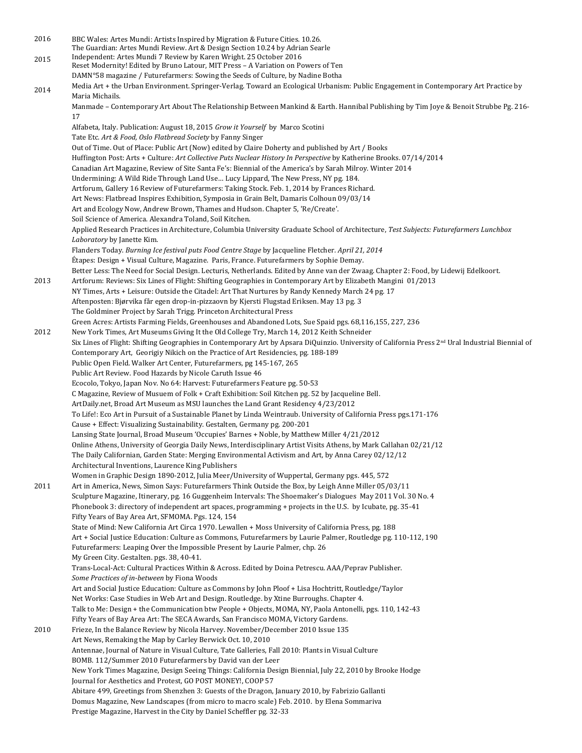2016 2015 2014 BBC Wales: Artes Mundi: Artists Inspired by Migration & Future Cities. 10.26. The Guardian: Artes Mundi Review. Art & Design Section 10.24 by Adrian Searle Independent: Artes Mundi 7 Review by Karen Wright. 25 October 2016 Reset Modernity! Edited by Bruno Latour, MIT Press - A Variation on Powers of Ten DAMN°58 magazine / Futurefarmers: Sowing the Seeds of Culture, by Nadine Botha Media Art + the Urban Environment. Springer-Verlag. Toward an Ecological Urbanism: Public Engagement in Contemporary Art Practice by Maria Michails. Manmade - Contemporary Art About The Relationship Between Mankind & Earth. Hannibal Publishing by Tim Joye & Benoit Strubbe Pg. 216-17 Alfabeta, Italy. Publication: August 18, 2015 Grow it Yourself by Marco Scotini Tate Etc. Art & Food, Oslo Flatbread Society by Fanny Singer Out of Time. Out of Place: Public Art (Now) edited by Claire Doherty and published by Art / Books Huffington Post: Arts + Culture: Art Collective Puts Nuclear History In Perspective by Katherine Brooks. 07/14/2014 Canadian Art Magazine, Review of Site Santa Fe's: Biennial of the America's by Sarah Milroy. Winter 2014 Undermining: A Wild Ride Through Land Use... Lucy Lippard, The New Press, NY pg. 184. Artforum, Gallery 16 Review of Futurefarmers: Taking Stock. Feb. 1, 2014 by Frances Richard. Art News: Flatbread Inspires Exhibition, Symposia in Grain Belt, Damaris Colhoun 09/03/14 Art and Ecology Now, Andrew Brown, Thames and Hudson. Chapter 5, 'Re/Create'. Soil Science of America. Alexandra Toland, Soil Kitchen. Applied Research Practices in Architecture, Columbia University Graduate School of Architecture, Test Subjects: Futurefarmers Lunchbox Laboratory by Janette Kim. Flanders Today. *Burning Ice festival puts Food Centre Stage* by Jacqueline Fletcher. April 21, 2014 Étapes: Design + Visual Culture, Magazine. Paris, France. Futurefarmers by Sophie Demay. Better Less: The Need for Social Design. Lecturis, Netherlands. Edited by Anne van der Zwaag. Chapter 2: Food, by Lidewij Edelkoort. 2013 Artforum: Reviews: Six Lines of Flight: Shifting Geographies in Contemporary Art by Elizabeth Mangini 01/2013 NY Times, Arts + Leisure: Outside the Citadel: Art That Nurtures by Randy Kennedy March 24 pg. 17 Aftenposten: Bjørvika får egen drop-in-pizzaovn by Kjersti Flugstad Eriksen. May 13 pg. 3 The Goldminer Project by Sarah Trigg. Princeton Architectural Press Green Acres: Artists Farming Fields, Greenhouses and Abandoned Lots, Sue Spaid pgs. 68,116,155, 227, 236 2012 New York Times, Art Museums Giving It the Old College Try, March 14, 2012 Keith Schneider Six Lines of Flight: Shifting Geographies in Contemporary Art by Apsara DiQuinzio. University of California Press 2<sup>nd</sup> Ural Industrial Biennial of Contemporary Art, Georigiy Nikich on the Practice of Art Residencies, pg. 188-189 Public Open Field. Walker Art Center, Futurefarmers, pg 145-167, 265 Public Art Review. Food Hazards by Nicole Caruth Issue 46 Ecocolo, Tokyo, Japan Nov. No 64: Harvest: Futurefarmers Feature pg. 50-53 C Magazine, Review of Musuem of Folk + Craft Exhibition: Soil Kitchen pg. 52 by Jacqueline Bell. ArtDaily.net, Broad Art Museum as MSU launches the Land Grant Residency 4/23/2012 To Life!: Eco Art in Pursuit of a Sustainable Planet by Linda Weintraub. University of California Press pgs.171-176 Cause + Effect: Visualizing Sustainability. Gestalten, Germany pg. 200-201 Lansing State Journal, Broad Museum 'Occupies' Barnes + Noble, by Matthew Miller 4/21/2012 Online Athens, University of Georgia Daily News, Interdisciplinary Artist Visits Athens, by Mark Callahan 02/21/12 The Daily Californian, Garden State: Merging Environmental Activism and Art, by Anna Carey 02/12/12 Architectural Inventions, Laurence King Publishers Women in Graphic Design 1890-2012, Julia Meer/University of Wuppertal, Germany pgs. 445, 572 2011 Art in America, News, Simon Says: Futurefarmers Think Outside the Box, by Leigh Anne Miller 05/03/11 Sculpture Magazine, Itinerary, pg. 16 Guggenheim Intervals: The Shoemaker's Dialogues May 2011 Vol. 30 No. 4 Phonebook 3: directory of independent art spaces, programming + projects in the U.S. by Icubate, pg. 35-41 Fifty Years of Bay Area Art, SFMOMA. Pgs. 124, 154 State of Mind: New California Art Circa 1970. Lewallen + Moss University of California Press, pg. 188 Art + Social Justice Education: Culture as Commons, Futurefarmers by Laurie Palmer, Routledge pg. 110-112, 190 Futurefarmers: Leaping Over the Impossible Present by Laurie Palmer, chp. 26 My Green City. Gestalten. pgs. 38, 40-41. Trans-Local-Act: Cultural Practices Within & Across. Edited by Doina Petrescu. AAA/Peprav Publisher. Some Practices of in-between by Fiona Woods Art and Social Justice Education: Culture as Commons by John Ploof + Lisa Hochtritt, Routledge/Taylor Net Works: Case Studies in Web Art and Design. Routledge. by Xtine Burroughs. Chapter 4. Talk to Me: Design + the Communication btw People + Objects, MOMA, NY, Paola Antonelli, pgs. 110, 142-43 Fifty Years of Bay Area Art: The SECA Awards, San Francisco MOMA, Victory Gardens. 2010 Frieze, In the Balance Review by Nicola Harvey. November/December 2010 Issue 135 Art News, Remaking the Map by Carley Berwick Oct. 10, 2010 Antennae, Journal of Nature in Visual Culture, Tate Galleries, Fall 2010: Plants in Visual Culture BOMB. 112/Summer 2010 Futurefarmers by David van der Leer New York Times Magazine, Design Seeing Things: California Design Biennial, July 22, 2010 by Brooke Hodge Journal for Aesthetics and Protest, GO POST MONEY!, COOP 57 Abitare 499, Greetings from Shenzhen 3: Guests of the Dragon, January 2010, by Fabrizio Gallanti Domus Magazine, New Landscapes (from micro to macro scale) Feb. 2010. by Elena Sommariva Prestige Magazine, Harvest in the City by Daniel Scheffler pg. 32-33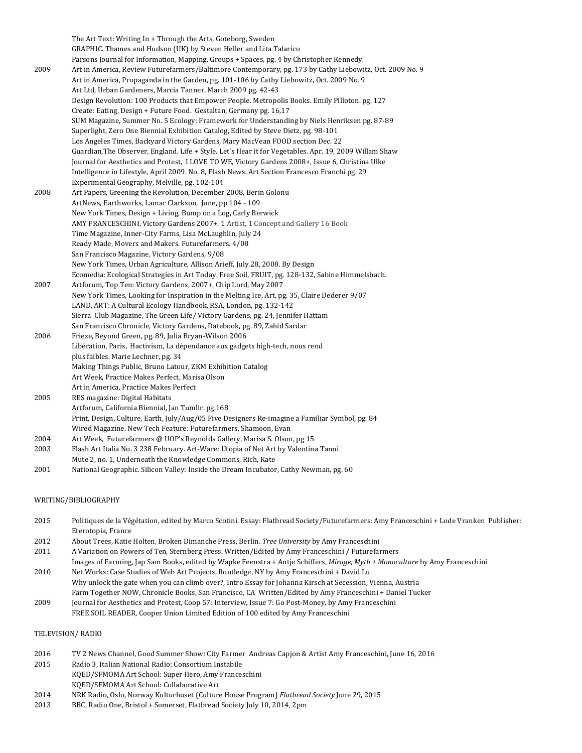|      | The Art Text: Writing In + Through the Arts, Goteborg, Sweden                                            |
|------|----------------------------------------------------------------------------------------------------------|
|      | GRAPHIC. Thames and Hudson (UK) by Steven Heller and Lita Talarico                                       |
|      | Parsons Journal for Information, Mapping, Groups + Spaces, pg. 4 by Christopher Kennedy                  |
| 2009 | Art in America, Review Futurefarmers/Baltimore Contemporary, pg. 173 by Cathy Liebowitz, Oct. 2009 No. 9 |
|      | Art in America, Propaganda in the Garden, pg. 101-106 by Cathy Liebowitz, Oct. 2009 No. 9                |
|      | Art Ltd, Urban Gardeners, Marcia Tanner, March 2009 pg. 42-43                                            |
|      | Design Revolution: 100 Products that Empower People. Metropolis Books. Emily Pilloton. pg. 127           |
|      | Create: Eating, Design + Future Food. Gestaltan, Germany pg. 16,17                                       |
|      | SUM Magazine, Summer No. 5 Ecology: Framework for Understanding by Niels Henriksen pg. 87-89             |
|      | Superlight, Zero One Biennial Exhibition Catalog, Edited by Steve Dietz, pg. 98-101                      |
|      | Los Angeles Times, Backyard Victory Gardens, Mary MacVean FOOD section Dec. 22                           |
|      | Guardian, The Observer, England. Life + Style. Let's Hear it for Vegetables. Apr. 19, 2009 Willam Shaw   |
|      | Journal for Aesthetics and Protest, I LOVE TO WE, Victory Gardens 2008+, Issue 6, Christina Ulke         |
|      | Intelligence in Lifestyle, April 2009. No. 8, Flash News. Art Section Francesco Franchi pg. 29           |
|      | Experimental Geography, Melville, pg. 102-104                                                            |
| 2008 | Art Papers, Greening the Revolution, December 2008, Berin Golonu                                         |
|      | ArtNews, Earthworks, Lamar Clarkson, June, pp 104 - 109                                                  |
|      | New York Times, Design + Living, Bump on a Log, Carly Berwick                                            |
|      | AMY FRANCESCHINI, Victory Gardens 2007+. 1 Artist, 1 Concept and Gallery 16 Book                         |
|      | Time Magazine, Inner-City Farms, Lisa McLaughlin, July 24                                                |
|      | Ready Made, Movers and Makers. Futurefarmers. 4/08                                                       |
|      | San Francisco Magazine, Victory Gardens, 9/08                                                            |
|      | New York Times, Urban Agriculture, Allison Arieff, July 28, 2008. By Design                              |
|      | Ecomedia: Ecological Strategies in Art Today, Free Soil, FRUIT, pg. 128-132, Sabine Himmelsbach.         |
| 2007 | Artforum, Top Ten: Victory Gardens, 2007+, Chip Lord, May 2007                                           |
|      | New York Times, Looking for Inspiration in the Melting Ice, Art, pg. 35, Claire Dederer 9/07             |
|      | LAND, ART: A Cultural Ecology Handbook, RSA, London, pg. 132-142                                         |
|      | Sierra Club Magazine, The Green Life/ Victory Gardens, pg. 24, Jennifer Hattam                           |
|      | San Francisco Chronicle, Victory Gardens, Datebook, pg. 89, Zahid Sardar                                 |
| 2006 | Frieze, Beyond Green, pg. 89, Julia Bryan-Wilson 2006                                                    |
|      | Libération, Paris, Hactivism, La dépendance aux gadgets high-tech, nous rend                             |
|      | plus faibles. Marie Lechner, pg. 34                                                                      |
|      | Making Things Public, Bruno Latour, ZKM Exhibition Catalog                                               |
|      | Art Week, Practice Makes Perfect, Marisa Olson                                                           |
|      | Art in America, Practice Makes Perfect                                                                   |
| 2005 | RES magazine: Digital Habitats                                                                           |
|      | Artforum, California Biennial, Jan Tumlir. pg.168                                                        |
|      | Print, Design, Culture, Earth, July/Aug/05 Five Designers Re-imagine a Familiar Symbol, pg. 84           |
|      | Wired Magazine. New Tech Feature: Futurefarmers, Shamoon, Evan                                           |
| 2004 | Art Week, Futurefarmers @ UOP's Reynolds Gallery, Marisa S. Olson, pg 15                                 |
| 2003 | Flash Art Italia No. 3 238 February. Art-Ware: Utopia of Net Art by Valentina Tanni                      |
|      | Mute 2, no. 1, Underneath the Knowledge Commons, Rich, Kate                                              |
| 2001 | National Geographic. Silicon Valley: Inside the Dream Incubator, Cathy Newman, pg. 60                    |

### WRITING/BIBLIOGRAPHY

| 2015 | Politiques de la Végétation, edited by Marco Scotini. Essay: Flatbread Society/Futurefarmers: Amy Franceschini + Lode Vranken Publisher: |
|------|------------------------------------------------------------------------------------------------------------------------------------------|
|      | Eterotopia, France                                                                                                                       |

- 2012 About Trees, Katie Holten, Broken Dimanche Press, Berlin. *Tree University* by Amy Franceschini
- 2011 A Variation on Powers of Ten, Sternberg Press. Written/Edited by Amy Franceschini / Futurefarmers Images of Farming, Jap Sam Books, edited by Wapke Feenstra + Antje Schiffers, *Mirage, Myth + Monoculture* by Amy Franceschini
- 2010 Net Works: Case Studies of Web Art Projects, Routledge, NY by Amy Franceschini + David Lu Why unlock the gate when you can climb over?, Intro Essay for Johanna Kirsch at Secession, Vienna, Austria Farm Together NOW, Chronicle Books, San Francisco, CA Written/Edited by Amy Franceschini + Daniel Tucker
- 2009 Journal for Aesthetics and Protest, Coop 57: Interview, Issue 7: Go Post-Money, by Amy Franceschini FREE SOIL READER, Cooper Union Limited Edition of 100 edited by Amy Franceschini

# TELEVISION/ RADIO

- 2016 TV 2 News Channel, Good Summer Show: City Farmer Andreas Capjon & Artist Amy Franceschini, June 16, 2016
- 2015 Radio 3, Italian National Radio: Consortium Instabile KQED/SFMOMA Art School: Super Hero, Amy Franceschini
- KQED/SFMOMA Art School: Collaborative Art
- 2014 NRK Radio, Oslo, Norway Kulturhuset (Culture House Program) Flatbread Society June 29, 2015
- 2013 BBC, Radio One, Bristol + Somerset, Flatbread Society July 10, 2014, 2pm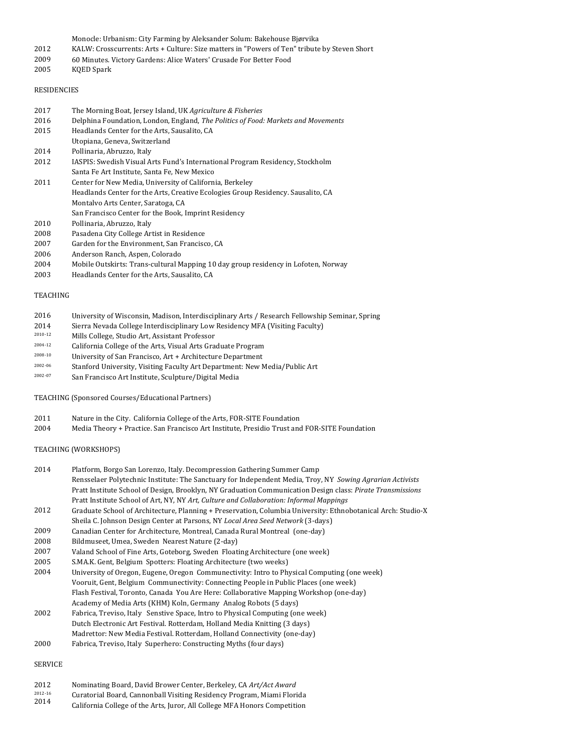- Monocle: Urbanism: City Farming by Aleksander Solum: Bakehouse Bjørvika
- 2012 KALW: Crosscurrents: Arts + Culture: Size matters in "Powers of Ten" tribute by Steven Short
- 2009 60 Minutes. Victory Gardens: Alice Waters' Crusade For Better Food
- 2005 KQED Spark

### RESIDENCIES

- 2017 The Morning Boat, Jersey Island, UK *Agriculture & Fisheries*
- 2016 Delphina Foundation, London, England, *The Politics of Food: Markets and Movements*
- 2015 Headlands Center for the Arts, Sausalito, CA
- Utopiana, Geneva, Switzerland
- 2014 Pollinaria, Abruzzo, Italy
- 2012 IASPIS: Swedish Visual Arts Fund's International Program Residency, Stockholm Santa Fe Art Institute, Santa Fe, New Mexico
- 2011 Center for New Media, University of California, Berkeley Headlands Center for the Arts, Creative Ecologies Group Residency. Sausalito, CA Montalvo Arts Center, Saratoga, CA San Francisco Center for the Book, Imprint Residency 2010
- Pollinaria, Abruzzo, Italy
- 2008 2007 Pasadena City College Artist in Residence
- Garden for the Environment, San Francisco, CA
- 2006 Anderson Ranch, Aspen, Colorado
- 2004 Mobile Outskirts: Trans-cultural Mapping 10 day group residency in Lofoten, Norway
- 2003 Headlands Center for the Arts, Sausalito, CA

#### TEACHING

- 2016 University of Wisconsin, Madison, Interdisciplinary Arts / Research Fellowship Seminar, Spring
- 2014 Sierra Nevada College Interdisciplinary Low Residency MFA (Visiting Faculty)
- 2010-12 Mills College, Studio Art, Assistant Professor
- <sup>2004-12</sup> California College of the Arts, Visual Arts Graduate Program
- $2008-10$  University of San Francisco, Art + Architecture Department
- 2002-06 Stanford University, Visiting Faculty Art Department: New Media/Public Art
- 2002-07 San Francisco Art Institute, Sculpture/Digital Media

TEACHING (Sponsored Courses/Educational Partners)

- 2011 Nature in the City. California College of the Arts, FOR-SITE Foundation
- 2004 Media Theory + Practice. San Francisco Art Institute, Presidio Trust and FOR-SITE Foundation

#### TEACHING (WORKSHOPS)

| 2014 | Platform, Borgo San Lorenzo, Italy. Decompression Gathering Summer Camp                                      |
|------|--------------------------------------------------------------------------------------------------------------|
|      | Rensselaer Polytechnic Institute: The Sanctuary for Independent Media, Troy, NY Sowing Agrarian Activists    |
|      | Pratt Institute School of Design, Brooklyn, NY Graduation Communication Design class: Pirate Transmissions   |
|      | Pratt Institute School of Art, NY, NY Art, Culture and Collaboration: Informal Mappings                      |
| 2012 | Graduate School of Architecture, Planning + Preservation, Columbia University: Ethnobotanical Arch: Studio-X |
|      | Sheila C. Johnson Design Center at Parsons, NY Local Area Seed Network (3-days)                              |
| 2009 | Canadian Center for Architecture, Montreal, Canada Rural Montreal (one-day)                                  |
| 2008 | Bildmuseet, Umea, Sweden Nearest Nature (2-day)                                                              |
| 2007 | Valand School of Fine Arts, Goteborg, Sweden Floating Architecture (one week)                                |
| 2005 | S.MA.K. Gent, Belgium Spotters: Floating Architecture (two weeks)                                            |
|      |                                                                                                              |

- 2004 University of Oregon, Eugene, Oregon Communectivity: Intro to Physical Computing (one week) Vooruit, Gent, Belgium Communectivity: Connecting People in Public Places (one week) Flash Festival, Toronto, Canada You Are Here: Collaborative Mapping Workshop (one-day) Academy of Media Arts (KHM) Koln, Germany Analog Robots (5 days)
- 2002 Fabrica, Treviso, Italy Senstive Space, Intro to Physical Computing (one week) Dutch Electronic Art Festival. Rotterdam, Holland Media Knitting (3 days) Madrettor: New Media Festival. Rotterdam, Holland Connectivity (one-day)
- 2000 Fabrica, Treviso, Italy Superhero: Constructing Myths (four days)

## SERVICE

- 2012 Nominating Board, David Brower Center, Berkeley, CA Art/Act Award
- 2012-16 Curatorial Board, Cannonball Visiting Residency Program, Miami Florida
- 2014 California College of the Arts, Juror, All College MFA Honors Competition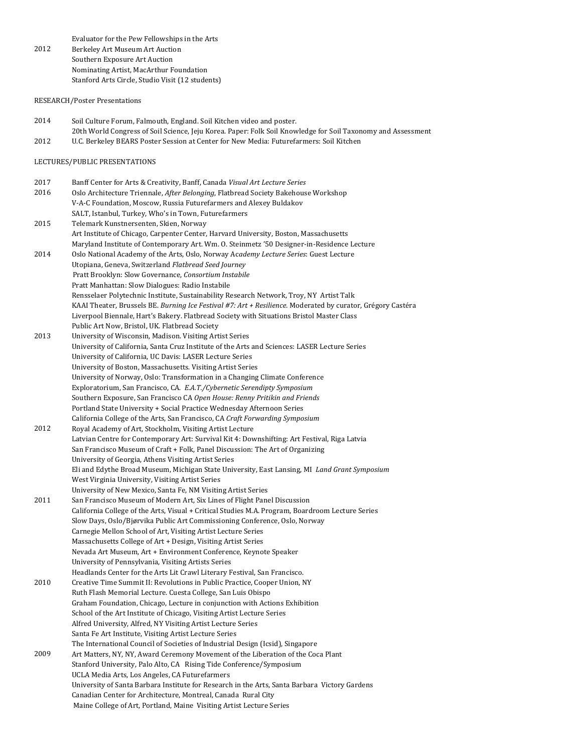2012 Evaluator for the Pew Fellowships in the Arts Berkeley Art Museum Art Auction Southern Exposure Art Auction Nominating Artist, MacArthur Foundation Stanford Arts Circle, Studio Visit (12 students)

RESEARCH/Poster Presentations

- 2014 2012 Soil Culture Forum, Falmouth, England. Soil Kitchen video and poster. 20th World Congress of Soil Science, Jeju Korea. Paper: Folk Soil Knowledge for Soil Taxonomy and Assessment U.C. Berkeley BEARS Poster Session at Center for New Media: Futurefarmers: Soil Kitchen
- LECTURES/PUBLIC PRESENTATIONS

| 2017 | Banff Center for Arts & Creativity, Banff, Canada Visual Art Lecture Series                                                                              |
|------|----------------------------------------------------------------------------------------------------------------------------------------------------------|
| 2016 | Oslo Architecture Triennale, After Belonging, Flatbread Society Bakehouse Workshop<br>V-A-C Foundation, Moscow, Russia Futurefarmers and Alexey Buldakov |
|      | SALT, Istanbul, Turkey, Who's in Town, Futurefarmers                                                                                                     |
| 2015 | Telemark Kunstnersenten, Skien, Norway                                                                                                                   |
|      | Art Institute of Chicago, Carpenter Center, Harvard University, Boston, Massachusetts                                                                    |
|      | Maryland Institute of Contemporary Art. Wm. O. Steinmetz '50 Designer-in-Residence Lecture                                                               |
| 2014 | Oslo National Academy of the Arts, Oslo, Norway Academy Lecture Series: Guest Lecture                                                                    |
|      | Utopiana, Geneva, Switzerland Flatbread Seed Journey                                                                                                     |
|      | Pratt Brooklyn: Slow Governance, Consortium Instabile                                                                                                    |
|      | Pratt Manhattan: Slow Dialogues: Radio Instabile                                                                                                         |
|      | Rensselaer Polytechnic Institute, Sustainability Research Network, Troy, NY Artist Talk                                                                  |
|      | KAAI Theater, Brussels BE. Burning Ice Festival #7: Art + Resilience. Moderated by curator, Grégory Castéra                                              |
|      | Liverpool Biennale, Hart's Bakery. Flatbread Society with Situations Bristol Master Class                                                                |
|      | Public Art Now, Bristol, UK. Flatbread Society                                                                                                           |
| 2013 | University of Wisconsin, Madison. Visiting Artist Series                                                                                                 |
|      | University of California, Santa Cruz Institute of the Arts and Sciences: LASER Lecture Series                                                            |
|      | University of California, UC Davis: LASER Lecture Series                                                                                                 |
|      | University of Boston, Massachusetts. Visiting Artist Series                                                                                              |
|      | University of Norway, Oslo: Transformation in a Changing Climate Conference                                                                              |
|      | Exploratorium, San Francisco, CA. E.A.T./Cybernetic Serendipty Symposium                                                                                 |
|      | Southern Exposure, San Francisco CA Open House: Renny Pritikin and Friends                                                                               |
|      | Portland State University + Social Practice Wednesday Afternoon Series                                                                                   |
|      | California College of the Arts, San Francisco, CA Craft Forwarding Symposium                                                                             |
| 2012 | Royal Academy of Art, Stockholm, Visiting Artist Lecture                                                                                                 |
|      | Latvian Centre for Contemporary Art: Survival Kit 4: Downshifting: Art Festival, Riga Latvia                                                             |
|      | San Francisco Museum of Craft + Folk, Panel Discussion: The Art of Organizing                                                                            |
|      | University of Georgia, Athens Visiting Artist Series                                                                                                     |
|      | Eli and Edythe Broad Museum, Michigan State University, East Lansing, MI Land Grant Symposium                                                            |
|      | West Virginia University, Visiting Artist Series                                                                                                         |
|      | University of New Mexico, Santa Fe, NM Visiting Artist Series                                                                                            |
| 2011 | San Francisco Museum of Modern Art, Six Lines of Flight Panel Discussion                                                                                 |
|      | California College of the Arts, Visual + Critical Studies M.A. Program, Boardroom Lecture Series                                                         |
|      | Slow Days, Oslo/Bjørvika Public Art Commissioning Conference, Oslo, Norway                                                                               |
|      | Carnegie Mellon School of Art, Visiting Artist Lecture Series                                                                                            |
|      | Massachusetts College of Art + Design, Visiting Artist Series                                                                                            |
|      | Nevada Art Museum, Art + Environment Conference, Keynote Speaker<br>University of Pennsylvania, Visiting Artists Series                                  |
|      | Headlands Center for the Arts Lit Crawl Literary Festival, San Francisco.                                                                                |
| 2010 | Creative Time Summit II: Revolutions in Public Practice, Cooper Union, NY                                                                                |
|      | Ruth Flash Memorial Lecture. Cuesta College, San Luis Obispo                                                                                             |
|      | Graham Foundation, Chicago, Lecture in conjunction with Actions Exhibition                                                                               |
|      | School of the Art Institute of Chicago, Visiting Artist Lecture Series                                                                                   |
|      | Alfred University, Alfred, NY Visiting Artist Lecture Series                                                                                             |
|      | Santa Fe Art Institute, Visiting Artist Lecture Series                                                                                                   |
|      | The International Council of Societies of Industrial Design (Icsid), Singapore                                                                           |
| 2009 | Art Matters, NY, NY, Award Ceremony Movement of the Liberation of the Coca Plant                                                                         |
|      | Stanford University, Palo Alto, CA Rising Tide Conference/Symposium                                                                                      |
|      | UCLA Media Arts, Los Angeles, CA Futurefarmers                                                                                                           |
|      | University of Santa Barbara Institute for Research in the Arts, Santa Barbara Victory Gardens                                                            |
|      | Canadian Center for Architecture, Montreal, Canada Rural City                                                                                            |
|      | Maine College of Art, Portland, Maine Visiting Artist Lecture Series                                                                                     |
|      |                                                                                                                                                          |